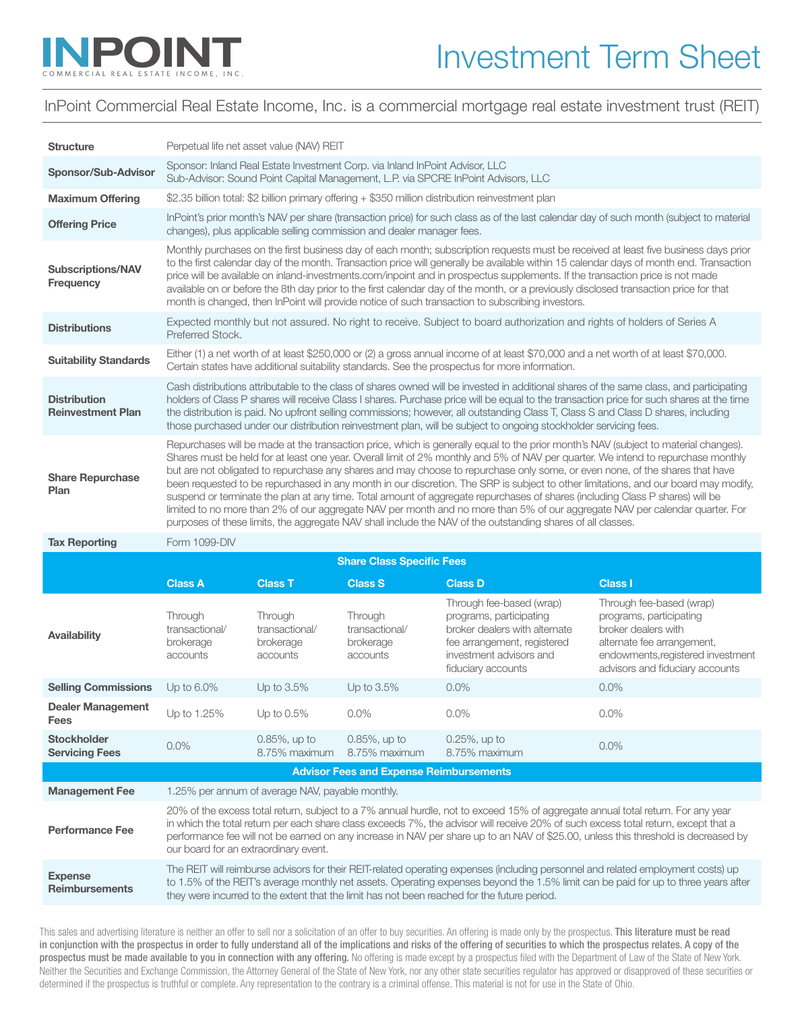

## InPoint Commercial Real Estate Income, Inc. is a commercial mortgage real estate investment trust (REIT)

| <b>Structure</b>                                | Perpetual life net asset value (NAV) REIT                                                                                                                                                                                                                                                                                                                                                                                                                                                                                                                                                                                                                                                                                                                                                                                                                                                                                       |                                                    |                                                    |                                                                                                                                                                      |                                                                                                                                                                                  |
|-------------------------------------------------|---------------------------------------------------------------------------------------------------------------------------------------------------------------------------------------------------------------------------------------------------------------------------------------------------------------------------------------------------------------------------------------------------------------------------------------------------------------------------------------------------------------------------------------------------------------------------------------------------------------------------------------------------------------------------------------------------------------------------------------------------------------------------------------------------------------------------------------------------------------------------------------------------------------------------------|----------------------------------------------------|----------------------------------------------------|----------------------------------------------------------------------------------------------------------------------------------------------------------------------|----------------------------------------------------------------------------------------------------------------------------------------------------------------------------------|
| Sponsor/Sub-Advisor                             | Sponsor: Inland Real Estate Investment Corp. via Inland InPoint Advisor, LLC<br>Sub-Advisor: Sound Point Capital Management, L.P. via SPCRE InPoint Advisors, LLC                                                                                                                                                                                                                                                                                                                                                                                                                                                                                                                                                                                                                                                                                                                                                               |                                                    |                                                    |                                                                                                                                                                      |                                                                                                                                                                                  |
| <b>Maximum Offering</b>                         | \$2.35 billion total: \$2 billion primary offering + \$350 million distribution reinvestment plan                                                                                                                                                                                                                                                                                                                                                                                                                                                                                                                                                                                                                                                                                                                                                                                                                               |                                                    |                                                    |                                                                                                                                                                      |                                                                                                                                                                                  |
| <b>Offering Price</b>                           | InPoint's prior month's NAV per share (transaction price) for such class as of the last calendar day of such month (subject to material<br>changes), plus applicable selling commission and dealer manager fees.                                                                                                                                                                                                                                                                                                                                                                                                                                                                                                                                                                                                                                                                                                                |                                                    |                                                    |                                                                                                                                                                      |                                                                                                                                                                                  |
| <b>Subscriptions/NAV</b><br>Frequency           | Monthly purchases on the first business day of each month; subscription requests must be received at least five business days prior<br>to the first calendar day of the month. Transaction price will generally be available within 15 calendar days of month end. Transaction<br>price will be available on inland-investments.com/inpoint and in prospectus supplements. If the transaction price is not made<br>available on or before the 8th day prior to the first calendar day of the month, or a previously disclosed transaction price for that<br>month is changed, then InPoint will provide notice of such transaction to subscribing investors.                                                                                                                                                                                                                                                                    |                                                    |                                                    |                                                                                                                                                                      |                                                                                                                                                                                  |
| <b>Distributions</b>                            | Expected monthly but not assured. No right to receive. Subject to board authorization and rights of holders of Series A<br>Preferred Stock.                                                                                                                                                                                                                                                                                                                                                                                                                                                                                                                                                                                                                                                                                                                                                                                     |                                                    |                                                    |                                                                                                                                                                      |                                                                                                                                                                                  |
| <b>Suitability Standards</b>                    | Either (1) a net worth of at least \$250,000 or (2) a gross annual income of at least \$70,000 and a net worth of at least \$70,000.<br>Certain states have additional suitability standards. See the prospectus for more information.                                                                                                                                                                                                                                                                                                                                                                                                                                                                                                                                                                                                                                                                                          |                                                    |                                                    |                                                                                                                                                                      |                                                                                                                                                                                  |
| <b>Distribution</b><br><b>Reinvestment Plan</b> | Cash distributions attributable to the class of shares owned will be invested in additional shares of the same class, and participating<br>holders of Class P shares will receive Class I shares. Purchase price will be equal to the transaction price for such shares at the time<br>the distribution is paid. No upfront selling commissions; however, all outstanding Class T, Class S and Class D shares, including<br>those purchased under our distribution reinvestment plan, will be subject to ongoing stockholder servicing fees.                                                                                                                                                                                                                                                                                                                                                                                    |                                                    |                                                    |                                                                                                                                                                      |                                                                                                                                                                                  |
| <b>Share Repurchase</b><br>Plan                 | Repurchases will be made at the transaction price, which is generally equal to the prior month's NAV (subject to material changes).<br>Shares must be held for at least one year. Overall limit of 2% monthly and 5% of NAV per quarter. We intend to repurchase monthly<br>but are not obligated to repurchase any shares and may choose to repurchase only some, or even none, of the shares that have<br>been requested to be repurchased in any month in our discretion. The SRP is subject to other limitations, and our board may modify,<br>suspend or terminate the plan at any time. Total amount of aggregate repurchases of shares (including Class P shares) will be<br>limited to no more than 2% of our aggregate NAV per month and no more than 5% of our aggregate NAV per calendar quarter. For<br>purposes of these limits, the aggregate NAV shall include the NAV of the outstanding shares of all classes. |                                                    |                                                    |                                                                                                                                                                      |                                                                                                                                                                                  |
| <b>Tax Reporting</b>                            | Form 1099-DIV                                                                                                                                                                                                                                                                                                                                                                                                                                                                                                                                                                                                                                                                                                                                                                                                                                                                                                                   |                                                    |                                                    |                                                                                                                                                                      |                                                                                                                                                                                  |
| <b>Share Class Specific Fees</b>                |                                                                                                                                                                                                                                                                                                                                                                                                                                                                                                                                                                                                                                                                                                                                                                                                                                                                                                                                 |                                                    |                                                    |                                                                                                                                                                      |                                                                                                                                                                                  |
|                                                 | <b>Class A</b>                                                                                                                                                                                                                                                                                                                                                                                                                                                                                                                                                                                                                                                                                                                                                                                                                                                                                                                  | <b>Class T</b>                                     | <b>Class S</b>                                     | <b>Class D</b>                                                                                                                                                       | <b>Class I</b>                                                                                                                                                                   |
| Availability                                    | Through<br>transactional/<br>brokerage<br>accounts                                                                                                                                                                                                                                                                                                                                                                                                                                                                                                                                                                                                                                                                                                                                                                                                                                                                              | Through<br>transactional/<br>brokerage<br>accounts | Through<br>transactional/<br>brokerage<br>accounts | Through fee-based (wrap)<br>programs, participating<br>broker dealers with alternate<br>fee arrangement, registered<br>investment advisors and<br>fiduciary accounts | Through fee-based (wrap)<br>programs, participating<br>broker dealers with<br>alternate fee arrangement,<br>endowments, registered investment<br>advisors and fiduciary accounts |
| <b>Selling Commissions</b>                      | Up to 6.0%                                                                                                                                                                                                                                                                                                                                                                                                                                                                                                                                                                                                                                                                                                                                                                                                                                                                                                                      | Up to 3.5%                                         | Up to 3.5%                                         | $0.0\%$                                                                                                                                                              | 0.0%                                                                                                                                                                             |
| <b>Dealer Management</b><br>Fees                | Up to 1.25%                                                                                                                                                                                                                                                                                                                                                                                                                                                                                                                                                                                                                                                                                                                                                                                                                                                                                                                     | Up to $0.5\%$                                      | 0.0%                                               | $0.0\%$                                                                                                                                                              | 0.0%                                                                                                                                                                             |
| Stockholder<br><b>Servicing Fees</b>            | 0.0%                                                                                                                                                                                                                                                                                                                                                                                                                                                                                                                                                                                                                                                                                                                                                                                                                                                                                                                            | 0.85%, up to                                       | 0.85%, up to<br>8.75% maximum 8.75% maximum        | 0.25%, up to<br>8.75% maximum                                                                                                                                        | 0.0%                                                                                                                                                                             |
| <b>Advisor Fees and Expense Reimbursements</b>  |                                                                                                                                                                                                                                                                                                                                                                                                                                                                                                                                                                                                                                                                                                                                                                                                                                                                                                                                 |                                                    |                                                    |                                                                                                                                                                      |                                                                                                                                                                                  |
| <b>Management Fee</b>                           | 1.25% per annum of average NAV, payable monthly.                                                                                                                                                                                                                                                                                                                                                                                                                                                                                                                                                                                                                                                                                                                                                                                                                                                                                |                                                    |                                                    |                                                                                                                                                                      |                                                                                                                                                                                  |
| <b>Performance Fee</b>                          | 20% of the excess total return, subject to a 7% annual hurdle, not to exceed 15% of aggregate annual total return. For any year<br>in which the total return per each share class exceeds 7%, the advisor will receive 20% of such excess total return, except that a<br>performance fee will not be earned on any increase in NAV per share up to an NAV of \$25.00, unless this threshold is decreased by<br>our board for an extraordinary event.                                                                                                                                                                                                                                                                                                                                                                                                                                                                            |                                                    |                                                    |                                                                                                                                                                      |                                                                                                                                                                                  |
| <b>Expense</b><br><b>Reimbursements</b>         | The REIT will reimburse advisors for their REIT-related operating expenses (including personnel and related employment costs) up<br>to 1.5% of the REIT's average monthly net assets. Operating expenses beyond the 1.5% limit can be paid for up to three years after<br>they were incurred to the extent that the limit has not been reached for the future period.                                                                                                                                                                                                                                                                                                                                                                                                                                                                                                                                                           |                                                    |                                                    |                                                                                                                                                                      |                                                                                                                                                                                  |

This sales and advertising literature is neither an offer to sell nor a solicitation of an offer to buy securities. An offering is made only by the prospectus. This literature must be read in conjunction with the prospectus in order to fully understand all of the implications and risks of the offering of securities to which the prospectus relates. A copy of the prospectus must be made available to you in connection with any offering. No offering is made except by a prospectus filed with the Department of Law of the State of New York. Neither the Securities and Exchange Commission, the Attorney General of the State of New York, nor any other state securities regulator has approved or disapproved of these securities or determined if the prospectus is truthful or complete. Any representation to the contrary is a criminal offense. This material is not for use in the State of Ohio.